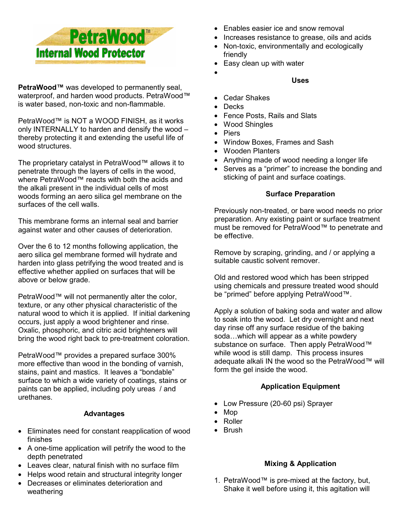

**PetraWood™** was developed to permanently seal, waterproof, and harden wood products. PetraWood™ is water based, non-toxic and non-flammable.

PetraWood™ is NOT a WOOD FINISH, as it works only INTERNALLY to harden and densify the wood – thereby protecting it and extending the useful life of wood structures.

The proprietary catalyst in PetraWood™ allows it to penetrate through the layers of cells in the wood, where PetraWood™ reacts with both the acids and the alkali present in the individual cells of most woods forming an aero silica gel membrane on the surfaces of the cell walls.

This membrane forms an internal seal and barrier against water and other causes of deterioration.

Over the 6 to 12 months following application, the aero silica gel membrane formed will hydrate and harden into glass petrifying the wood treated and is effective whether applied on surfaces that will be above or below grade.

PetraWood™ will not permanently alter the color, texture, or any other physical characteristic of the natural wood to which it is applied. If initial darkening occurs, just apply a wood brightener and rinse. Oxalic, phosphoric, and citric acid brighteners will bring the wood right back to pre-treatment coloration.

PetraWood™ provides a prepared surface 300% more effective than wood in the bonding of varnish, stains, paint and mastics. It leaves a "bondable" surface to which a wide variety of coatings, stains or paints can be applied, including poly ureas / and urethanes.

## **Advantages**

- Eliminates need for constant reapplication of wood finishes
- A one-time application will petrify the wood to the depth penetrated
- Leaves clear, natural finish with no surface film
- Helps wood retain and structural integrity longer
- Decreases or eliminates deterioration and weathering
- Enables easier ice and snow removal
- Increases resistance to grease, oils and acids
- Non-toxic, environmentally and ecologically friendly
- Easy clean up with water
	- **Uses**
- Cedar Shakes
- Decks

•

- Fence Posts, Rails and Slats
- Wood Shingles
- Piers
- Window Boxes, Frames and Sash
- Wooden Planters
- Anything made of wood needing a longer life
- Serves as a "primer" to increase the bonding and sticking of paint and surface coatings.

## **Surface Preparation**

Previously non-treated, or bare wood needs no prior preparation. Any existing paint or surface treatment must be removed for PetraWood™ to penetrate and be effective.

Remove by scraping, grinding, and / or applying a suitable caustic solvent remover.

Old and restored wood which has been stripped using chemicals and pressure treated wood should be "primed" before applying PetraWood™.

Apply a solution of baking soda and water and allow to soak into the wood. Let dry overnight and next day rinse off any surface residue of the baking soda…which will appear as a white powdery substance on surface. Then apply PetraWood™ while wood is still damp. This process insures adequate alkali IN the wood so the PetraWood™ will form the gel inside the wood.

# **Application Equipment**

- Low Pressure (20-60 psi) Sprayer
- Mop
- Roller
- Brush

# **Mixing & Application**

1. PetraWood™ is pre-mixed at the factory, but, Shake it well before using it, this agitation will